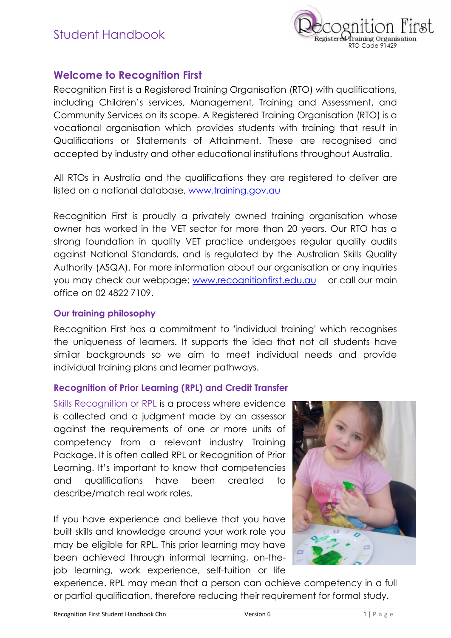

## **Welcome to Recognition First**

Recognition First is a Registered Training Organisation (RTO) with qualifications, including Children's services, Management, Training and Assessment, and Community Services on its scope. A Registered Training Organisation (RTO) is a vocational organisation which provides students with training that result in Qualifications or Statements of Attainment. These are recognised and accepted by industry and other educational institutions throughout Australia.

All RTOs in Australia and the qualifications they are registered to deliver are listed on a national database, www.training.gov.au

Recognition First is proudly a privately owned training organisation whose owner has worked in the VET sector for more than 20 years. Our RTO has a strong foundation in quality VET practice undergoes regular quality audits against National Standards, and is regulated by the Australian Skills Quality Authority (ASQA). For more information about our organisation or any inquiries you may check our webpage; www.recognitionfirst.edu.au or call our main office on 02 4822 7109.

#### **Our training philosophy**

Recognition First has a commitment to 'individual training' which recognises the uniqueness of learners. It supports the idea that not all students have similar backgrounds so we aim to meet individual needs and provide individual training plans and learner pathways.

#### **Recognition of Prior Learning (RPL) and Credit Transfer**

Skills Recognition or RPL is a process where evidence is collected and a judgment made by an assessor against the requirements of one or more units of competency from a relevant industry Training Package. It is often called RPL or Recognition of Prior Learning. It's important to know that competencies and qualifications have been created to describe/match real work roles.

If you have experience and believe that you have built skills and knowledge around your work role you may be eligible for RPL. This prior learning may have been achieved through informal learning, on-thejob learning, work experience, self-tuition or life



experience. RPL may mean that a person can achieve competency in a full or partial qualification, therefore reducing their requirement for formal study.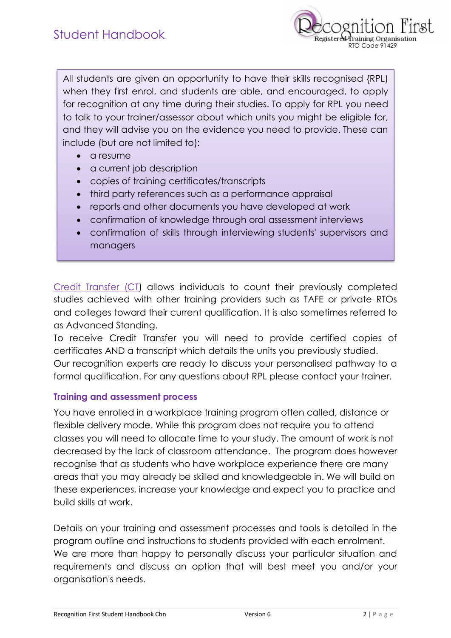

All students are given an opportunity to have their skills recognised {RPL) when they first enrol, and students are able, and encouraged, to apply for recognition at any time during their studies. To apply for RPL you need to talk to your trainer/assessor about which units you might be eligible for, and they will advise you on the evidence you need to provide. These can include (but are not limited to):

- · a resume
- a current job description
- · copies of training certificates/transcripts
- · third party references such as a performance appraisal
- · reports and other documents you have developed at work
- · confirmation of knowledge through oral assessment interviews
- · confirmation of skills through interviewing students' supervisors and managers

Credit Transfer (CT) allows individuals to count their previously completed studies achieved with other training providers such as TAFE or private RTOs and colleges toward their current qualification. It is also sometimes referred to as Advanced Standing.

To receive Credit Transfer you will need to provide certified copies of certificates AND a transcript which details the units you previously studied. Our recognition experts are ready to discuss your personalised pathway to a formal qualification. For any questions about RPL please contact your trainer.

#### **Training and assessment process**

You have enrolled in a workplace training program often called, distance or flexible delivery mode. While this program does not require you to attend classes you will need to allocate time to your study. The amount of work is not decreased by the lack of classroom attendance. The program does however recognise that as students who have workplace experience there are many areas that you may already be skilled and knowledgeable in. We will build on these experiences, increase your knowledge and expect you to practice and build skills at work.

Details on your training and assessment processes and tools is detailed in the program outline and instructions to students provided with each enrolment. We are more than happy to personally discuss your particular situation and requirements and discuss an option that will best meet you and/or your organisation's needs.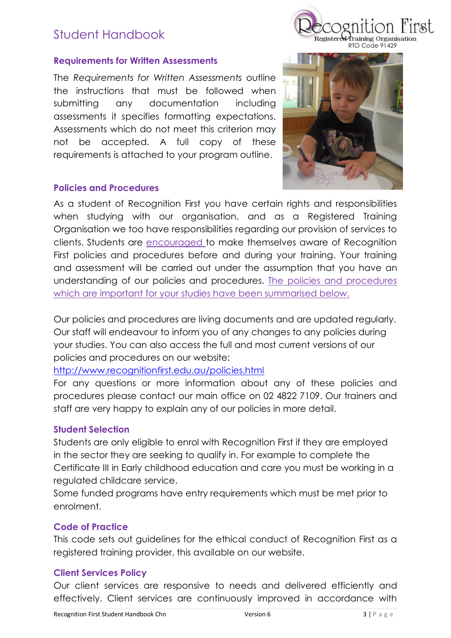#### **Requirements for Written Assessments**

The *Requirements for Written Assessments* outline the instructions that must be followed when submitting any documentation including assessments it specifies formatting expectations. Assessments which do not meet this criterion may not be accepted. A full copy of these requirements is attached to your program outline.

Registered

RTO Code 91429

training Organisation

#### **Policies and Procedures**

As a student of Recognition First you have certain rights and responsibilities when studying with our organisation, and as a Registered Training Organisation we too have responsibilities regarding our provision of services to clients. Students are encouraged to make themselves aware of Recognition First policies and procedures before and during your training. Your training and assessment will be carried out under the assumption that you have an understanding of our policies and procedures. The policies and procedures which are important for your studies have been summarised below.

Our policies and procedures are living documents and are updated regularly. Our staff will endeavour to inform you of any changes to any policies during your studies. You can also access the full and most current versions of our policies and procedures on our website:

### http://www.recognitionfirst.edu.au/policies.html

For any questions or more information about any of these policies and procedures please contact our main office on 02 4822 7109. Our trainers and staff are very happy to explain any of our policies in more detail.

#### **Student Selection**

Students are only eligible to enrol with Recognition First if they are employed in the sector they are seeking to qualify in. For example to complete the Certificate III in Early childhood education and care you must be working in a regulated childcare service.

Some funded programs have entry requirements which must be met prior to enrolment.

#### **Code of Practice**

This code sets out guidelines for the ethical conduct of Recognition First as a registered training provider, this available on our website.

#### **Client Services Policy**

Our client services are responsive to needs and delivered efficiently and effectively. Client services are continuously improved in accordance with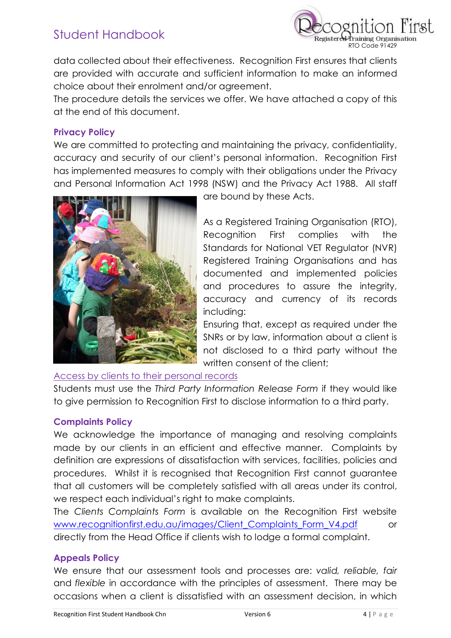

data collected about their effectiveness. Recognition First ensures that clients are provided with accurate and sufficient information to make an informed choice about their enrolment and/or agreement.

The procedure details the services we offer. We have attached a copy of this at the end of this document.

#### **Privacy Policy**

We are committed to protecting and maintaining the privacy, confidentiality, accuracy and security of our client's personal information. Recognition First has implemented measures to comply with their obligations under the Privacy and Personal Information Act 1998 (NSW) and the Privacy Act 1988. All staff



are bound by these Acts.

As a Registered Training Organisation (RTO), Recognition First complies with the Standards for National VET Regulator (NVR) Registered Training Organisations and has documented and implemented policies and procedures to assure the integrity, accuracy and currency of its records including:

Ensuring that, except as required under the SNRs or by law, information about a client is not disclosed to a third party without the written consent of the client;

#### Access by clients to their personal records

Students must use the *Third Party Information Release Form* if they would like to give permission to Recognition First to disclose information to a third party.

#### **Complaints Policy**

We acknowledge the importance of managing and resolving complaints made by our clients in an efficient and effective manner. Complaints by definition are expressions of dissatisfaction with services, facilities, policies and procedures. Whilst it is recognised that Recognition First cannot guarantee that all customers will be completely satisfied with all areas under its control, we respect each individual's right to make complaints.

The *Clients Complaints Form* is available on the Recognition First website www.recognitionfirst.edu.au/images/Client\_Complaints\_Form\_V4.pdf or directly from the Head Office if clients wish to lodge a formal complaint.

#### **Appeals Policy**

We ensure that our assessment tools and processes are: *valid, reliable, fair*  and *flexible* in accordance with the principles of assessment. There may be occasions when a client is dissatisfied with an assessment decision, in which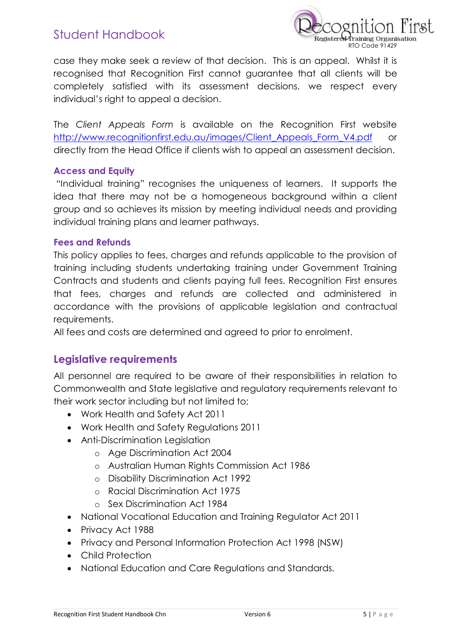

case they make seek a review of that decision. This is an appeal. Whilst it is recognised that Recognition First cannot guarantee that all clients will be completely satisfied with its assessment decisions, we respect every individual's right to appeal a decision.

The *Client Appeals Form* is available on the Recognition First website http://www.recognitionfirst.edu.au/images/Client\_Appeals\_Form\_V4.pdf or directly from the Head Office if clients wish to appeal an assessment decision.

#### **Access and Equity**

"Individual training" recognises the uniqueness of learners. It supports the idea that there may not be a homogeneous background within a client group and so achieves its mission by meeting individual needs and providing individual training plans and learner pathways.

#### **Fees and Refunds**

This policy applies to fees, charges and refunds applicable to the provision of training including students undertaking training under Government Training Contracts and students and clients paying full fees. Recognition First ensures that fees, charges and refunds are collected and administered in accordance with the provisions of applicable legislation and contractual requirements.

All fees and costs are determined and agreed to prior to enrolment.

## **Legislative requirements**

All personnel are required to be aware of their responsibilities in relation to Commonwealth and State legislative and regulatory requirements relevant to their work sector including but not limited to;

- · Work Health and Safety Act 2011
- · Work Health and Safety Regulations 2011
- · Anti-Discrimination Legislation
	- o Age Discrimination Act 2004
	- o Australian Human Rights Commission Act 1986
	- o Disability Discrimination Act 1992
	- o Racial Discrimination Act 1975
	- o Sex Discrimination Act 1984
- · National Vocational Education and Training Regulator Act 2011
- · Privacy Act 1988
- · Privacy and Personal Information Protection Act 1998 (NSW)
- · Child Protection
- · National Education and Care Regulations and Standards.